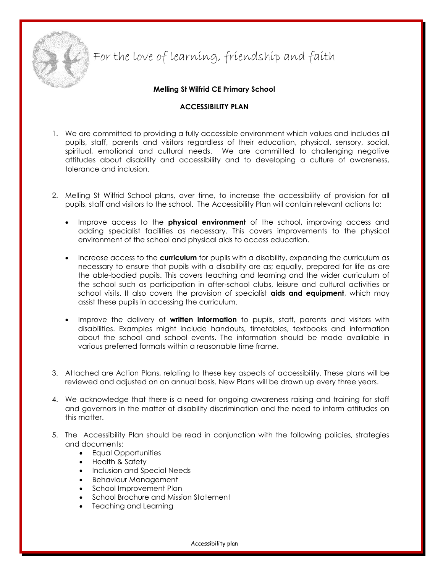

For the love of learning, friendship and faith

**Melling St Wilfrid CE Primary School**

#### **ACCESSIBILITY PLAN**

- 1. We are committed to providing a fully accessible environment which values and includes all pupils, staff, parents and visitors regardless of their education, physical, sensory, social, spiritual, emotional and cultural needs. We are committed to challenging negative attitudes about disability and accessibility and to developing a culture of awareness, tolerance and inclusion.
- 2. Melling St Wilfrid School plans, over time, to increase the accessibility of provision for all pupils, staff and visitors to the school. The Accessibility Plan will contain relevant actions to:
	- Improve access to the **physical environment** of the school, improving access and adding specialist facilities as necessary. This covers improvements to the physical environment of the school and physical aids to access education.
	- Increase access to the **curriculum** for pupils with a disability, expanding the curriculum as necessary to ensure that pupils with a disability are as; equally, prepared for life as are the able-bodied pupils. This covers teaching and learning and the wider curriculum of the school such as participation in after-school clubs, leisure and cultural activities or school visits. It also covers the provision of specialist **aids and equipment**, which may assist these pupils in accessing the curriculum.
	- Improve the delivery of **written information** to pupils, staff, parents and visitors with disabilities. Examples might include handouts, timetables, textbooks and information about the school and school events. The information should be made available in various preferred formats within a reasonable time frame.
- 3. Attached are Action Plans, relating to these key aspects of accessibility. These plans will be reviewed and adjusted on an annual basis. New Plans will be drawn up every three years.
- 4. We acknowledge that there is a need for ongoing awareness raising and training for staff and governors in the matter of disability discrimination and the need to inform attitudes on this matter.
- 5. The Accessibility Plan should be read in conjunction with the following policies, strategies and documents:
	- **•** Equal Opportunities
	- Health & Safety
	- Inclusion and Special Needs
	- Behaviour Management
	- School Improvement Plan
	- School Brochure and Mission Statement
	- Teaching and Learning

Accessibility plan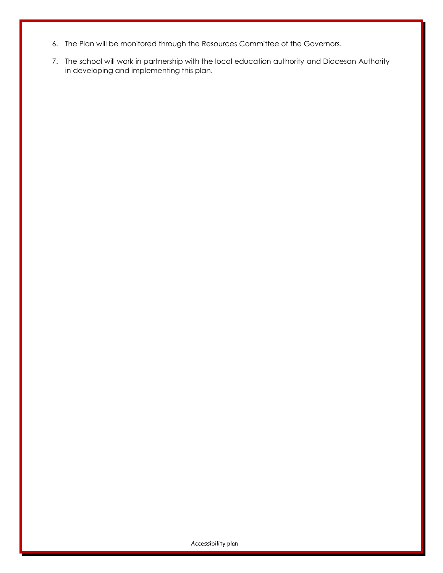- 6. The Plan will be monitored through the Resources Committee of the Governors.
- 7. The school will work in partnership with the local education authority and Diocesan Authority in developing and implementing this plan.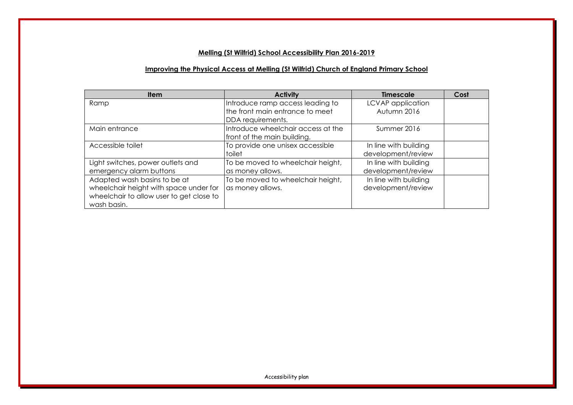# **Melling (St Wilfrid) School Accessibility Plan 2016-2019**

# **Improving the Physical Access at Melling (St Wilfrid) Church of England Primary School**

| <b>Item</b>                              | <b>Activity</b>                    | <b>Timescale</b>      | Cost |
|------------------------------------------|------------------------------------|-----------------------|------|
| Ramp                                     | Introduce ramp access leading to   | LCVAP application     |      |
|                                          | the front main entrance to meet    | Autumn 2016           |      |
|                                          | DDA requirements.                  |                       |      |
| Main entrance                            | Introduce wheelchair access at the | Summer 2016           |      |
|                                          | front of the main building.        |                       |      |
| Accessible toilet                        | To provide one unisex accessible   | In line with building |      |
|                                          | toilet                             | development/review    |      |
| Light switches, power outlets and        | To be moved to wheelchair height,  | In line with building |      |
| emergency alarm buttons                  | as money allows.                   | development/review    |      |
| Adapted wash basins to be at             | To be moved to wheelchair height,  | In line with building |      |
| wheelchair height with space under for   | as money allows.                   | development/review    |      |
| wheelchair to allow user to get close to |                                    |                       |      |
| wash basin.                              |                                    |                       |      |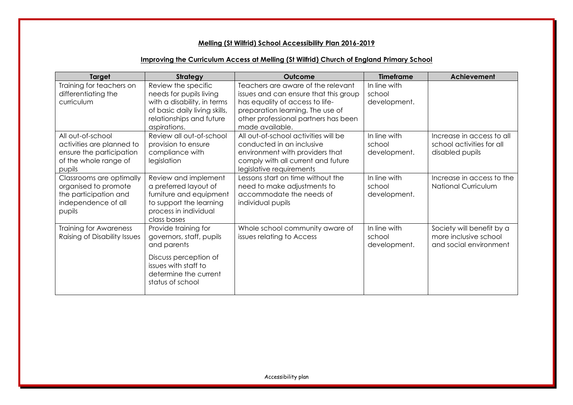# **Melling (St Wilfrid) School Accessibility Plan 2016-2019**

### **Improving the Curriculum Access at Melling (St Wilfrid) Church of England Primary School**

| Target                                                                                                        | <b>Strategy</b>                                                                                                                                               | <b>Outcome</b>                                                                                                                                                                                                | <b>Timeframe</b>                       | <b>Achievement</b>                                                           |
|---------------------------------------------------------------------------------------------------------------|---------------------------------------------------------------------------------------------------------------------------------------------------------------|---------------------------------------------------------------------------------------------------------------------------------------------------------------------------------------------------------------|----------------------------------------|------------------------------------------------------------------------------|
| Training for teachers on<br>differentiating the<br>curriculum                                                 | Review the specific<br>needs for pupils living<br>with a disability, in terms<br>of basic daily living skills,<br>relationships and future<br>aspirations.    | Teachers are aware of the relevant<br>issues and can ensure that this group<br>has equality of access to life-<br>preparation learning. The use of<br>other professional partners has been<br>made available. | In line with<br>school<br>development. |                                                                              |
| All out-of-school<br>activities are planned to<br>ensure the participation<br>of the whole range of<br>pupils | Review all out-of-school<br>provision to ensure<br>compliance with<br>legislation                                                                             | All out-of-school activities will be<br>conducted in an inclusive<br>environment with providers that<br>comply with all current and future<br>legislative requirements                                        | In line with<br>school<br>development. | Increase in access to all<br>school activities for all<br>disabled pupils    |
| Classrooms are optimally<br>organised to promote<br>the participation and<br>independence of all<br>pupils    | Review and implement<br>a preferred layout of<br>furniture and equipment<br>to support the learning<br>process in individual<br>class bases                   | Lessons start on time without the<br>need to make adjustments to<br>accommodate the needs of<br>individual pupils                                                                                             | In line with<br>school<br>development. | Increase in access to the<br><b>National Curriculum</b>                      |
| <b>Training for Awareness</b><br>Raising of Disability Issues                                                 | Provide training for<br>governors, staff, pupils<br>and parents<br>Discuss perception of<br>issues with staff to<br>determine the current<br>status of school | Whole school community aware of<br>issues relating to Access                                                                                                                                                  | In line with<br>school<br>development. | Society will benefit by a<br>more inclusive school<br>and social environment |